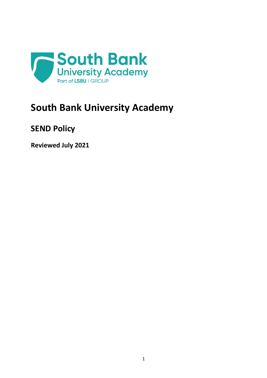

# **South Bank University Academy**

# **SEND Policy**

**Reviewed July 2021**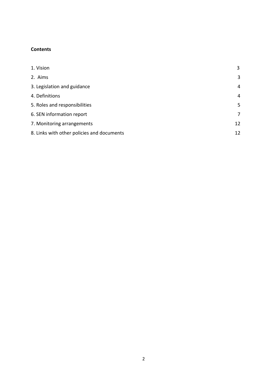#### **Contents**

| 1. Vision                                  | $\overline{3}$ |
|--------------------------------------------|----------------|
| 2. Aims                                    | 3              |
| 3. Legislation and guidance                | $\overline{4}$ |
| 4. Definitions                             | $\overline{4}$ |
| 5. Roles and responsibilities              | 5              |
| 6. SEN information report                  | 7              |
| 7. Monitoring arrangements                 | 12             |
| 8. Links with other policies and documents | 12             |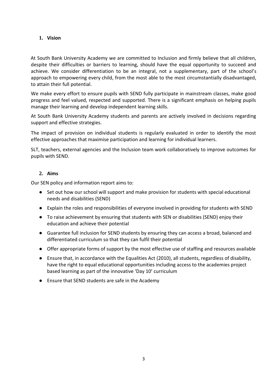#### **1. Vision**

At South Bank University Academy we are committed to Inclusion and firmly believe that all children, despite their difficulties or barriers to learning, should have the equal opportunity to succeed and achieve. We consider differentiation to be an integral, not a supplementary, part of the school's approach to empowering every child, from the most able to the most circumstantially disadvantaged, to attain their full potential.

We make every effort to ensure pupils with SEND fully participate in mainstream classes, make good progress and feel valued, respected and supported. There is a significant emphasis on helping pupils manage their learning and develop independent learning skills.

At South Bank University Academy students and parents are actively involved in decisions regarding support and effective strategies.

The impact of provision on individual students is regularly evaluated in order to identify the most effective approaches that maximise participation and learning for individual learners.

SLT, teachers, external agencies and the Inclusion team work collaboratively to improve outcomes for pupils with SEND.

#### **2. Aims**

Our SEN policy and information report aims to:

- Set out how our school will support and make provision for students with special educational needs and disabilities (SEND)
- Explain the roles and responsibilities of everyone involved in providing for students with SEND
- To raise achievement by ensuring that students with SEN or disabilities (SEND) enjoy their education and achieve their potential
- Guarantee full inclusion for SEND students by ensuring they can access a broad, balanced and differentiated curriculum so that they can fulfil their potential
- Offer appropriate forms of support by the most effective use of staffing and resources available
- Ensure that, in accordance with the Equalities Act (2010), all students, regardless of disability, have the right to equal educational opportunities including access to the academies project based learning as part of the innovative 'Day 10' curriculum
- Ensure that SEND students are safe in the Academy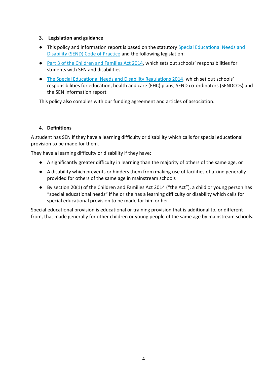#### **3. Legislation and guidance**

- This policy and information report is based on the statutory [Special Educational Needs and](https://www.gov.uk/government/uploads/system/uploads/attachment_data/file/398815/SEND_Code_of_Practice_January_2015.pdf)  [Disability \(SEND\) Code of Practice](https://www.gov.uk/government/uploads/system/uploads/attachment_data/file/398815/SEND_Code_of_Practice_January_2015.pdf) and the following legislation:
- [Part 3 of the Children and Families Act 2014](http://www.legislation.gov.uk/ukpga/2014/6/part/3), which sets out schools' responsibilities for students with SEN and disabilities
- [The Special Educational Needs and Disability Regulations 2014](http://www.legislation.gov.uk/uksi/2014/1530/contents/made), which set out schools' responsibilities for education, health and care (EHC) plans, SEND co-ordinators (SENDCOs) and the SEN information report

This policy also complies with our funding agreement and articles of association.

#### **4. Definitions**

A student has SEN if they have a learning difficulty or disability which calls for special educational provision to be made for them.

They have a learning difficulty or disability if they have:

- A significantly greater difficulty in learning than the majority of others of the same age, or
- A disability which prevents or hinders them from making use of facilities of a kind generally provided for others of the same age in mainstream schools
- By section 20(1) of the Children and Families Act 2014 ("the Act"), a child or young person has "special educational needs" if he or she has a learning difficulty or disability which calls for special educational provision to be made for him or her.

Special educational provision is educational or training provision that is additional to, or different from, that made generally for other children or young people of the same age by mainstream schools.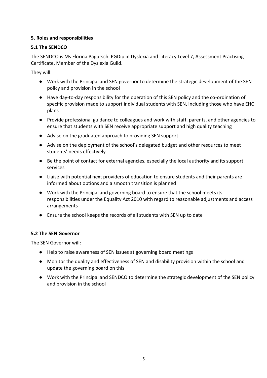#### **5. Roles and responsibilities**

#### **5.1 The SENDCO**

The SENDCO is Ms Florina Pagurschi PGDip in Dyslexia and Literacy Level 7, Assessment Practising Certificate, Member of the Dyslexia Guild.

They will:

- Work with the Principal and SEN governor to determine the strategic development of the SEN policy and provision in the school
- Have day-to-day responsibility for the operation of this SEN policy and the co-ordination of specific provision made to support individual students with SEN, including those who have EHC plans
- Provide professional guidance to colleagues and work with staff, parents, and other agencies to ensure that students with SEN receive appropriate support and high quality teaching
- Advise on the graduated approach to providing SEN support
- Advise on the deployment of the school's delegated budget and other resources to meet students' needs effectively
- Be the point of contact for external agencies, especially the local authority and its support services
- Liaise with potential next providers of education to ensure students and their parents are informed about options and a smooth transition is planned
- Work with the Principal and governing board to ensure that the school meets its responsibilities under the Equality Act 2010 with regard to reasonable adjustments and access arrangements
- Ensure the school keeps the records of all students with SEN up to date

#### **5.2 The SEN Governor**

The SEN Governor will:

- Help to raise awareness of SEN issues at governing board meetings
- Monitor the quality and effectiveness of SEN and disability provision within the school and update the governing board on this
- Work with the Principal and SENDCO to determine the strategic development of the SEN policy and provision in the school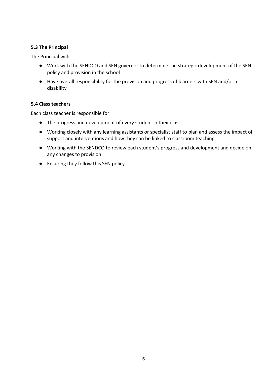#### **5.3 The Principal**

The Principal will:

- Work with the SENDCO and SEN governor to determine the strategic development of the SEN policy and provision in the school
- Have overall responsibility for the provision and progress of learners with SEN and/or a disability

#### **5.4 Class teachers**

Each class teacher is responsible for:

- The progress and development of every student in their class
- Working closely with any learning assistants or specialist staff to plan and assess the impact of support and interventions and how they can be linked to classroom teaching
- Working with the SENDCO to review each student's progress and development and decide on any changes to provision
- Ensuring they follow this SEN policy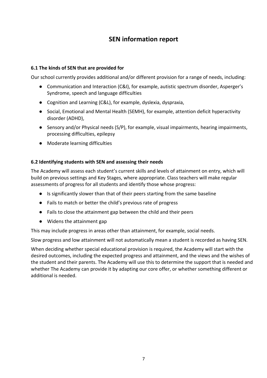### **SEN information report**

#### **6.1 The kinds of SEN that are provided for**

Our school currently provides additional and/or different provision for a range of needs, including:

- Communication and Interaction (C&I), for example, autistic spectrum disorder, Asperger's Syndrome, speech and language difficulties
- Cognition and Learning (C&L), for example, dyslexia, dyspraxia,
- Social, Emotional and Mental Health (SEMH), for example, attention deficit hyperactivity disorder (ADHD),
- Sensory and/or Physical needs (S/P), for example, visual impairments, hearing impairments, processing difficulties, epilepsy
- Moderate learning difficulties

#### **6.2 Identifying students with SEN and assessing their needs**

The Academy will assess each student's current skills and levels of attainment on entry, which will build on previous settings and Key Stages, where appropriate. Class teachers will make regular assessments of progress for all students and identify those whose progress:

- Is significantly slower than that of their peers starting from the same baseline
- Fails to match or better the child's previous rate of progress
- Fails to close the attainment gap between the child and their peers
- Widens the attainment gap

This may include progress in areas other than attainment, for example, social needs.

Slow progress and low attainment will not automatically mean a student is recorded as having SEN.

When deciding whether special educational provision is required, the Academy will start with the desired outcomes, including the expected progress and attainment, and the views and the wishes of the student and their parents. The Academy will use this to determine the support that is needed and whether The Academy can provide it by adapting our core offer, or whether something different or additional is needed.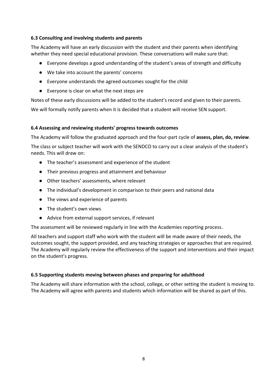#### **6.3 Consulting and involving students and parents**

The Academy will have an early discussion with the student and their parents when identifying whether they need special educational provision. These conversations will make sure that:

- Everyone develops a good understanding of the student's areas of strength and difficulty
- We take into account the parents' concerns
- Everyone understands the agreed outcomes sought for the child
- Everyone is clear on what the next steps are

Notes of these early discussions will be added to the student's record and given to their parents. We will formally notify parents when it is decided that a student will receive SEN support.

#### **6.4 Assessing and reviewing students' progress towards outcomes**

The Academy will follow the graduated approach and the four-part cycle of **assess, plan, do, review**.

The class or subject teacher will work with the SENDCO to carry out a clear analysis of the student's needs. This will draw on:

- The teacher's assessment and experience of the student
- Their previous progress and attainment and behaviour
- Other teachers' assessments, where relevant
- The individual's development in comparison to their peers and national data
- The views and experience of parents
- The student's own views
- Advice from external support services, if relevant

The assessment will be reviewed regularly in line with the Academies reporting process.

All teachers and support staff who work with the student will be made aware of their needs, the outcomes sought, the support provided, and any teaching strategies or approaches that are required. The Academy will regularly review the effectiveness of the support and interventions and their impact on the student's progress.

#### **6.5 Supporting students moving between phases and preparing for adulthood**

The Academy will share information with the school, college, or other setting the student is moving to. The Academy will agree with parents and students which information will be shared as part of this.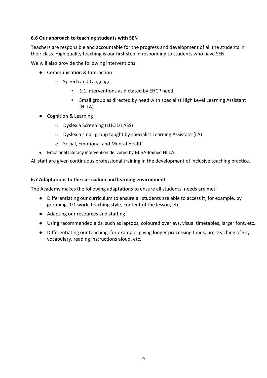#### **6.6 Our approach to teaching students with SEN**

Teachers are responsible and accountable for the progress and development of all the students in their class. High quality teaching is our first step in responding to students who have SEN.

We will also provide the following interventions:

- Communication & Interaction
	- o Speech and Language
		- **•** 1:1 interventions as dictated by EHCP need
		- **Small group as directed by need with specialist High Level Learning Assistant** (HLLA)
- Cognition & Learning
	- o Dyslexia Screening (LUCID LASS)
	- o Dyslexia small group taught by specialist Learning Assistant (LA)
	- o Social, Emotional and Mental Health
- Emotional Literacy intervention delivered by ELSA-trained HLLA.

All staff are given continuous professional training in the development of inclusive teaching practice.

#### **6.7 Adaptations to the curriculum and learning environment**

The Academy makes the following adaptations to ensure all students' needs are met:

- Differentiating our curriculum to ensure all students are able to access it, for example, by grouping, 1:1 work, teaching style, content of the lesson, etc.
- Adapting our resources and staffing
- Using recommended aids, such as laptops, coloured overlays, visual timetables, larger font, etc.
- Differentiating our teaching, for example, giving longer processing times, pre-teaching of key vocabulary, reading instructions aloud, etc.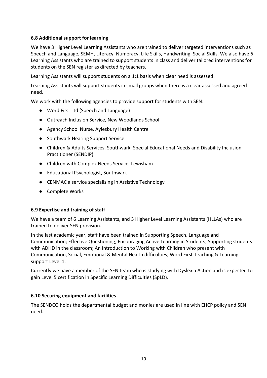#### **6.8 Additional support for learning**

We have 3 Higher Level Learning Assistants who are trained to deliver targeted interventions such as Speech and Language, SEMH, Literacy, Numeracy, Life Skills, Handwriting, Social Skills. We also have 6 Learning Assistants who are trained to support students in class and deliver tailored interventions for students on the SEN register as directed by teachers.

Learning Assistants will support students on a 1:1 basis when clear need is assessed.

Learning Assistants will support students in small groups when there is a clear assessed and agreed need.

We work with the following agencies to provide support for students with SEN:

- Word First Ltd (Speech and Language)
- Outreach Inclusion Service, New Woodlands School
- Agency School Nurse, Aylesbury Health Centre
- Southwark Hearing Support Service
- Children & Adults Services, Southwark, Special Educational Needs and Disability Inclusion Practitioner (SENDIP)
- Children with Complex Needs Service, Lewisham
- Educational Psychologist, Southwark
- CENMAC a service specialising in Assistive Technology
- Complete Works

#### **6.9 Expertise and training of staff**

We have a team of 6 Learning Assistants, and 3 Higher Level Learning Assistants (HLLAs) who are trained to deliver SEN provision.

In the last academic year, staff have been trained in Supporting Speech, Language and Communication; Effective Questioning; Encouraging Active Learning in Students; Supporting students with ADHD in the classroom; An Introduction to Working with Children who present with Communication, Social, Emotional & Mental Health difficulties; Word First Teaching & Learning support Level 1.

Currently we have a member of the SEN team who is studying with Dyslexia Action and is expected to gain Level 5 certification in Specific Learning Difficulties (SpLD).

#### **6.10 Securing equipment and facilities**

The SENDCO holds the departmental budget and monies are used in line with EHCP policy and SEN need.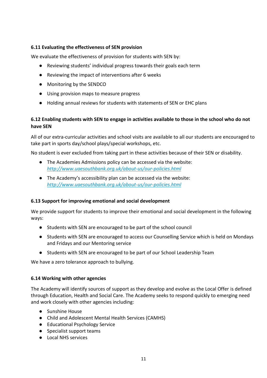#### **6.11 Evaluating the effectiveness of SEN provision**

We evaluate the effectiveness of provision for students with SEN by:

- Reviewing students' individual progress towards their goals each term
- Reviewing the impact of interventions after 6 weeks
- Monitoring by the SENDCO
- Using provision maps to measure progress
- Holding annual reviews for students with statements of SEN or EHC plans

#### **6.12 Enabling students with SEN to engage in activities available to those in the school who do not have SEN**

All of our extra-curricular activities and school visits are available to all our students are encouraged to take part in sports day/school plays/special workshops, etc.

No student is ever excluded from taking part in these activities because of their SEN or disability.

- The Academies Admissions policy can be accessed via the website: *<http://www.uaesouthbank.org.uk/about-us/our-policies.html>*
- The Academy's accessibility plan can be accessed via the website: *<http://www.uaesouthbank.org.uk/about-us/our-policies.html>*

#### **6.13 Support for improving emotional and social development**

We provide support for students to improve their emotional and social development in the following ways:

- Students with SEN are encouraged to be part of the school council
- Students with SEN are encouraged to access our Counselling Service which is held on Mondays and Fridays and our Mentoring service
- Students with SEN are encouraged to be part of our School Leadership Team

We have a zero tolerance approach to bullying.

#### **6.14 Working with other agencies**

The Academy will identify sources of support as they develop and evolve as the Local Offer is defined through Education, Health and Social Care. The Academy seeks to respond quickly to emerging need and work closely with other agencies including:

- Sunshine House
- Child and Adolescent Mental Health Services (CAMHS)
- Educational Psychology Service
- Specialist support teams
- Local NHS services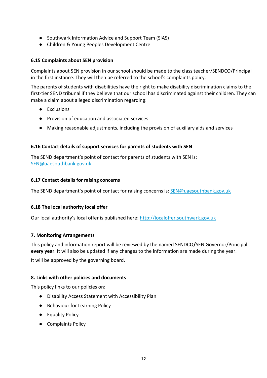- Southwark Information Advice and Support Team (SIAS)
- Children & Young Peoples Development Centre

#### **6.15 Complaints about SEN provision**

Complaints about SEN provision in our school should be made to the class teacher/SENDCO/Principal in the first instance. They will then be referred to the school's complaints policy.

The parents of students with disabilities have the right to make disability discrimination claims to the first-tier SEND tribunal if they believe that our school has discriminated against their children. They can make a claim about alleged discrimination regarding:

- Exclusions
- Provision of education and associated services
- Making reasonable adjustments, including the provision of auxiliary aids and services

#### **6.16 Contact details of support services for parents of students with SEN**

The SEND department's point of contact for parents of students with SEN is: [SEN@uaesouthbank.gov.uk](mailto:SEN@uaesouthbank.gov.uk) 

#### **6.17 Contact details for raising concerns**

The SEND department's point of contact for raising concerns is: [SEN@uaesouthbank.gov.uk](mailto:SEN@uaesouthbank.gov.uk)

#### **6.18 The local authority local offer**

Our local authority's local offer is published here: [http://localoffer.southwark.gov.uk](http://localoffer.southwark.gov.uk/) 

#### **7. Monitoring Arrangements**

This policy and information report will be reviewed by the named SENDCO**/**SEN Governor/Principal **every year**. It will also be updated if any changes to the information are made during the year.

It will be approved by the governing board.

#### **8. Links with other policies and documents**

This policy links to our policies on:

- Disability Access Statement with Accessibility Plan
- Behaviour for Learning Policy
- Equality Policy
- Complaints Policy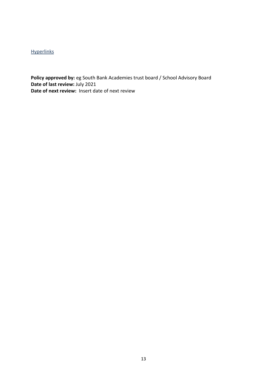#### **[Hyperlinks](http://www.google.com/)**

**Policy approved by:** eg South Bank Academies trust board / School Advisory Board **Date of last review:** July 2021 **Date of next review:** Insert date of next review